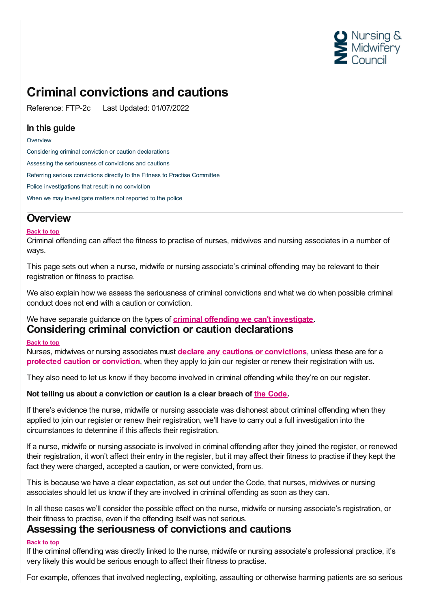

## **Criminal convictions and cautions**

Reference: FTP-2c Last Updated: 01/07/2022

#### **In this guide**

#### **[Overview](#page-0-0)**

Considering criminal conviction or caution [declarations](#page-0-1) Assessing the [seriousness](#page-0-2) of convictions and cautions Referring serious [convictions](#page-1-0) directly to the Fitness to Practise Committee Police [investigations](#page-1-1) that result in no conviction When we may [investigate](#page-2-0) matters not reported to the police

### <span id="page-0-0"></span>**Overview**

#### **Back to top**

Criminal offending can affect the fitness to practise of nurses, midwives and nursing associates in a number of ways.

This page sets out when a nurse, midwife or nursing associate's criminal offending may be relevant to their registration or fitness to practise.

We also explain how we assess the seriousness of criminal convictions and what we do when possible criminal conduct does not end with a caution or conviction.

#### <span id="page-0-1"></span>We have separate guidance on the types of **criminal offending we can't [investigate](https://www.nmc.org.uk/ftp-library/understanding-fitness-to-practise/fitness-to-practise-allegations/criminal-convictions-and-cautions/criminal-offences-we-dont-investigate/)**. **Considering criminal conviction or caution declarations**

#### **Back to top**

Nurses, midwives or nursing associates must **declare any cautions or [convictions](https://www.nmc.org.uk/registration/joining-the-register/health-and-character/)**, unless these are for a **protected caution or [conviction](https://www.nmc.org.uk/ftp-library/understanding-fitness-to-practise/fitness-to-practise-allegations/criminal-convictions-and-cautions/criminal-offences-we-dont-investigate/)**, when they apply to join our register or renew their registration with us.

They also need to let us know if they become involved in criminal offending while they're on our register.

#### **Not telling us about a conviction or caution is a clear breach of the [Code](https://www.nmc.org.uk/standards/code/).**

If there's evidence the nurse, midwife or nursing associate was dishonest about criminal offending when they applied to join our register or renew their registration, we'll have to carry out a full investigation into the circumstances to determine if this affects their registration.

If a nurse, midwife or nursing associate is involved in criminal offending after they joined the register, or renewed their registration, it won't affect their entry in the register, but it may affect their fitness to practise if they kept the fact they were charged, accepted a caution, or were convicted, from us.

This is because we have a clear expectation, as set out under the Code, that nurses, midwives or nursing associates should let us know if they are involved in criminal offending as soon as they can.

In all these cases we'll consider the possible effect on the nurse, midwife or nursing associate's registration, or their fitness to practise, even if the offending itself was not serious.

#### <span id="page-0-2"></span>**Assessing the seriousness of convictions and cautions**

#### **Back to top**

If the criminal offending was directly linked to the nurse, midwife or nursing associate's professional practice, it's very likely this would be serious enough to affect their fitness to practise.

For example, offences that involved neglecting, exploiting, assaulting or otherwise harming patients are so serious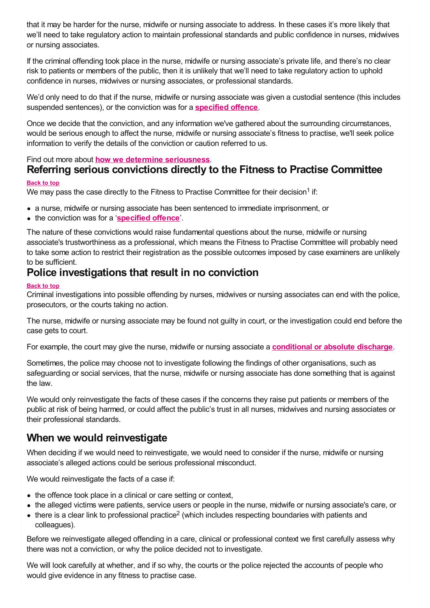that it may be harder for the nurse, midwife or nursing associate to address. In these cases it's more likely that we'll need to take regulatory action to maintain professional standards and public confidence in nurses, midwives or nursing associates.

If the criminal offending took place in the nurse, midwife or nursing associate's private life, and there's no clear risk to patients or members of the public, then it is unlikely that we'll need to take regulatory action to uphold confidence in nurses, midwives or nursing associates, or professional standards.

We'd only need to do that if the nurse, midwife or nursing associate was given a custodial sentence (this includes suspended sentences), or the conviction was for a **[specified](https://www.nmc.org.uk/ftp-library/understanding-fitness-to-practise/fitness-to-practise-allegations/criminal-convictions-and-cautions/directly-referring-specified-offences-to-the-fitness-to-practise-committee/) offence**.

Once we decide that the conviction, and any information we've gathered about the surrounding circumstances, would be serious enough to affect the nurse, midwife or nursing associate's fitness to practise, we'll seek police information to verify the details of the conviction or caution referred to us.

#### Find out more about **how we determine [seriousness](https://www.nmc.org.uk/ftp-library/understanding-fitness-to-practise/how-we-determine-seriousness/)**.

## <span id="page-1-0"></span>**Referring serious convictions directly to the Fitness to Practise Committee**

#### **Back to top**

We may pass the case directly to the Fitness to Practise Committee for their decision<sup>1</sup> if:

- a nurse, midwife or nursing associate has been sentenced to immediate imprisonment, or
- the conviction was for a '**[specified](https://www.nmc.org.uk/ftp-library/understanding-fitness-to-practise/fitness-to-practise-allegations/criminal-convictions-and-cautions/directly-referring-specified-offences-to-the-fitness-to-practise-committee/) offence**'.

The nature of these convictions would raise fundamental questions about the nurse, midwife or nursing associate's trustworthiness as a professional, which means the Fitness to Practise Committee will probably need to take some action to restrict their registration as the possible outcomes imposed by case examiners are unlikely to be sufficient.

## <span id="page-1-1"></span>**Police investigations that result in no conviction**

#### **Back to top**

Criminal investigations into possible offending by nurses, midwives or nursing associates can end with the police, prosecutors, or the courts taking no action.

The nurse, midwife or nursing associate may be found not guilty in court, or the investigation could end before the case gets to court.

For example, the court may give the nurse, midwife or nursing associate a **[conditional](https://www.nmc.org.uk/ftp-library/understanding-fitness-to-practise/fitness-to-practise-allegations/criminal-convictions-and-cautions/criminal-offences-we-dont-investigate/) or absolute discharge**.

Sometimes, the police may choose not to investigate following the findings of other organisations, such as safeguarding or social services, that the nurse, midwife or nursing associate has done something that is against the law.

We would only reinvestigate the facts of these cases if the concerns they raise put patients or members of the public at risk of being harmed, or could affect the public's trust in all nurses, midwives and nursing associates or their professional standards.

## **When we would reinvestigate**

When deciding if we would need to reinvestigate, we would need to consider if the nurse, midwife or nursing associate's alleged actions could be serious professional misconduct.

We would reinvestigate the facts of a case if:

- the offence took place in a clinical or care setting or context,
- the alleged victims were patients, service users or people in the nurse, midwife or nursing associate's care, or
- there is a clear link to professional practice<sup>2</sup> (which includes respecting boundaries with patients and colleagues).

Before we reinvestigate alleged offending in a care, clinical or professional context we first carefully assess why there was not a conviction, or why the police decided not to investigate.

We will look carefully at whether, and if so why, the courts or the police rejected the accounts of people who would give evidence in any fitness to practise case.